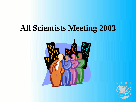## **All Scientists Meeting 2003**



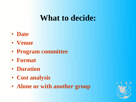## **What to decide:**

- **Date**
- **Venue**
- **Program committee**
- **Format**
- **Duration**
- **Cost analysis**
- **Alone or with another group**

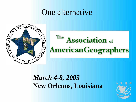## One alternative



#### The **Association** of **American Geographers**

#### *March 4-8, 2003* **New Orleans, Louisiana**

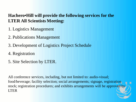#### **Hachero•Hill will provide the following services for the LTER All Scientists Meeting:**

- 1. Logistics Management
- 2. Publications Management
- 3. Development of Logistics Project Schedule
- 4. Registration
- 5. Site Selection by LTER.

All conference services, including, but not limited to: audio-visual; food/beverage; facility selection; social arrangements; signage, registration stock; registration procedures; and exhibits arrangements will be approved by LTER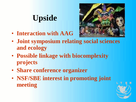# **Upside**

• **Interaction with AAG**



- **Joint symposium relating social sciences and ecology**
- **Possible linkage with biocomplexity projects**
- **Share conference organizer**
- **NSF/SBE interest in promoting joint meeting**

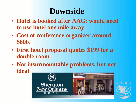## **Downside**

- **Hotel is booked after AAG; would need to use hotel one mile away**
- **Cost of conference organizer around \$60K**
- **First hotel proposal quotes \$199 for a double room**
- **Not insurmountable problems, but not ideal**



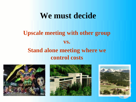### **We must decide**

#### **Upscale meeting with other group vs. Stand alone meeting where we control costs**





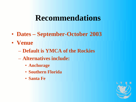## **Recommendations**

- **Dates – September-October 2003**
- **Venue**
	- **Default is YMCA of the Rockies**
	- **Alternatives include:**
		- **Anchorage**
		- **Southern Florida**
		- **Santa Fe**

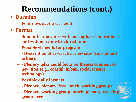# **Recommendations (cont.)**

#### • **Duration**

- **Four days over a weekend**
- **Format**
	- **Similar to Snowbird with an emphasis on products and with more unstructured time**
	- **Possible elements for program**
	- **- Description of research at new sites (coastal and urban);**
	- **- Plenary talks could focus on themes common to new sites (e.g., coastal, urban, social science, technology)**

**Possible daily formats**

- **- Plenary, plenary, free, lunch, working groups**
- **- Plenary, working group, lunch, plenary, working group, free**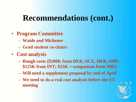## **Recommendations (cont.)**

- **Program Committee**
	- **Waide and Michener**
	- **Grad student co-chairs**
- **Cost analysis**
	- **Rough costs (\$200K from DEB, OCE, HER, OPP; \$125K from INT; \$25K = symposium from SBE)**
	- **Will need a supplement proposal by end of April**
	- **We need to do a real cost analysis before the CC meeting**